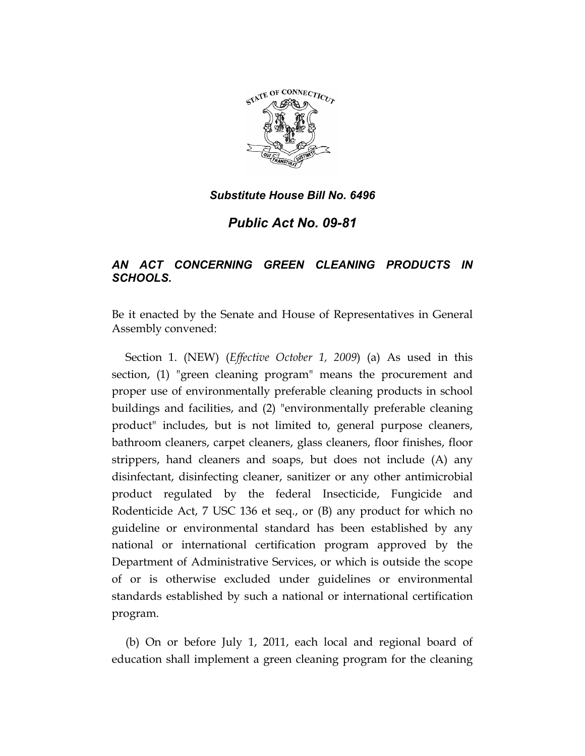

*Public Act No. 09-81* 

# *AN ACT CONCERNING GREEN CLEANING PRODUCTS IN SCHOOLS.*

Be it enacted by the Senate and House of Representatives in General Assembly convened:

Section 1. (NEW) (*Effective October 1, 2009*) (a) As used in this section, (1) "green cleaning program" means the procurement and proper use of environmentally preferable cleaning products in school buildings and facilities, and (2) "environmentally preferable cleaning product" includes, but is not limited to, general purpose cleaners, bathroom cleaners, carpet cleaners, glass cleaners, floor finishes, floor strippers, hand cleaners and soaps, but does not include (A) any disinfectant, disinfecting cleaner, sanitizer or any other antimicrobial product regulated by the federal Insecticide, Fungicide and Rodenticide Act, 7 USC 136 et seq., or (B) any product for which no guideline or environmental standard has been established by any national or international certification program approved by the Department of Administrative Services, or which is outside the scope of or is otherwise excluded under guidelines or environmental standards established by such a national or international certification program.

(b) On or before July 1, 2011, each local and regional board of education shall implement a green cleaning program for the cleaning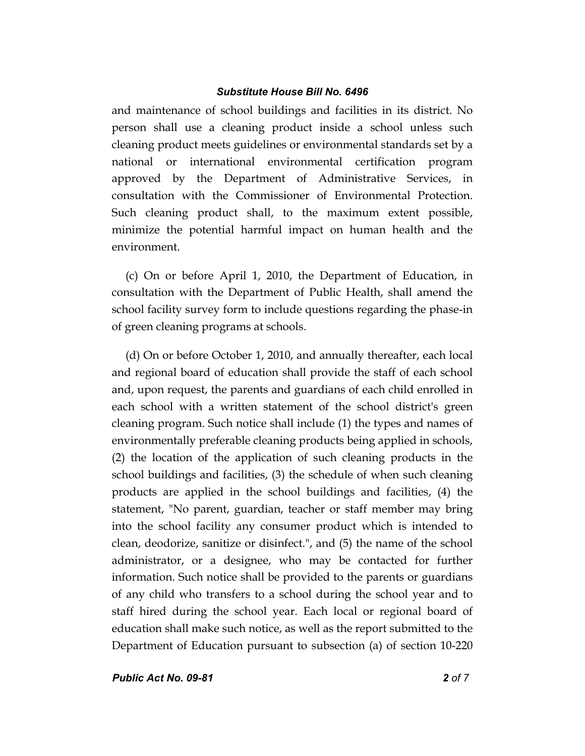and maintenance of school buildings and facilities in its district. No person shall use a cleaning product inside a school unless such cleaning product meets guidelines or environmental standards set by a national or international environmental certification program approved by the Department of Administrative Services, in consultation with the Commissioner of Environmental Protection. Such cleaning product shall, to the maximum extent possible, minimize the potential harmful impact on human health and the environment.

(c) On or before April 1, 2010, the Department of Education, in consultation with the Department of Public Health, shall amend the school facility survey form to include questions regarding the phase-in of green cleaning programs at schools.

(d) On or before October 1, 2010, and annually thereafter, each local and regional board of education shall provide the staff of each school and, upon request, the parents and guardians of each child enrolled in each school with a written statement of the school district's green cleaning program. Such notice shall include (1) the types and names of environmentally preferable cleaning products being applied in schools, (2) the location of the application of such cleaning products in the school buildings and facilities, (3) the schedule of when such cleaning products are applied in the school buildings and facilities, (4) the statement, "No parent, guardian, teacher or staff member may bring into the school facility any consumer product which is intended to clean, deodorize, sanitize or disinfect.", and (5) the name of the school administrator, or a designee, who may be contacted for further information. Such notice shall be provided to the parents or guardians of any child who transfers to a school during the school year and to staff hired during the school year. Each local or regional board of education shall make such notice, as well as the report submitted to the Department of Education pursuant to subsection (a) of section 10-220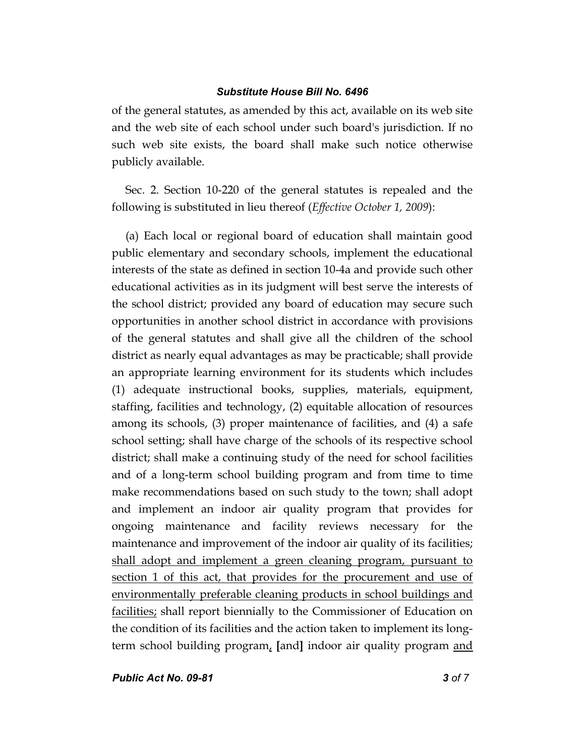of the general statutes, as amended by this act, available on its web site and the web site of each school under such board's jurisdiction. If no such web site exists, the board shall make such notice otherwise publicly available.

Sec. 2. Section 10-220 of the general statutes is repealed and the following is substituted in lieu thereof (*Effective October 1, 2009*):

(a) Each local or regional board of education shall maintain good public elementary and secondary schools, implement the educational interests of the state as defined in section 10-4a and provide such other educational activities as in its judgment will best serve the interests of the school district; provided any board of education may secure such opportunities in another school district in accordance with provisions of the general statutes and shall give all the children of the school district as nearly equal advantages as may be practicable; shall provide an appropriate learning environment for its students which includes (1) adequate instructional books, supplies, materials, equipment, staffing, facilities and technology, (2) equitable allocation of resources among its schools, (3) proper maintenance of facilities, and (4) a safe school setting; shall have charge of the schools of its respective school district; shall make a continuing study of the need for school facilities and of a long-term school building program and from time to time make recommendations based on such study to the town; shall adopt and implement an indoor air quality program that provides for ongoing maintenance and facility reviews necessary for the maintenance and improvement of the indoor air quality of its facilities; shall adopt and implement a green cleaning program, pursuant to section 1 of this act, that provides for the procurement and use of environmentally preferable cleaning products in school buildings and facilities; shall report biennially to the Commissioner of Education on the condition of its facilities and the action taken to implement its longterm school building program, **[**and**]** indoor air quality program and

*Public Act No. 09-81 3 of 7*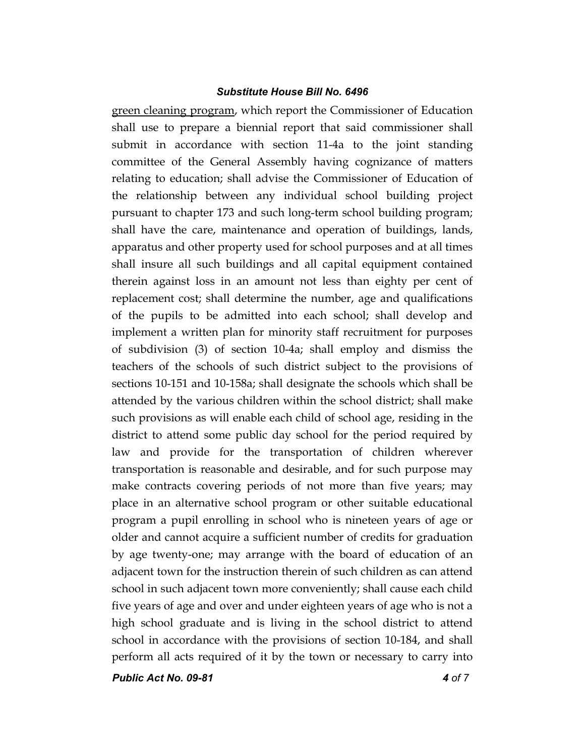green cleaning program, which report the Commissioner of Education shall use to prepare a biennial report that said commissioner shall submit in accordance with section 11-4a to the joint standing committee of the General Assembly having cognizance of matters relating to education; shall advise the Commissioner of Education of the relationship between any individual school building project pursuant to chapter 173 and such long-term school building program; shall have the care, maintenance and operation of buildings, lands, apparatus and other property used for school purposes and at all times shall insure all such buildings and all capital equipment contained therein against loss in an amount not less than eighty per cent of replacement cost; shall determine the number, age and qualifications of the pupils to be admitted into each school; shall develop and implement a written plan for minority staff recruitment for purposes of subdivision (3) of section 10-4a; shall employ and dismiss the teachers of the schools of such district subject to the provisions of sections 10-151 and 10-158a; shall designate the schools which shall be attended by the various children within the school district; shall make such provisions as will enable each child of school age, residing in the district to attend some public day school for the period required by law and provide for the transportation of children wherever transportation is reasonable and desirable, and for such purpose may make contracts covering periods of not more than five years; may place in an alternative school program or other suitable educational program a pupil enrolling in school who is nineteen years of age or older and cannot acquire a sufficient number of credits for graduation by age twenty-one; may arrange with the board of education of an adjacent town for the instruction therein of such children as can attend school in such adjacent town more conveniently; shall cause each child five years of age and over and under eighteen years of age who is not a high school graduate and is living in the school district to attend school in accordance with the provisions of section 10-184, and shall perform all acts required of it by the town or necessary to carry into

*Public Act No. 09-81 4 of 7*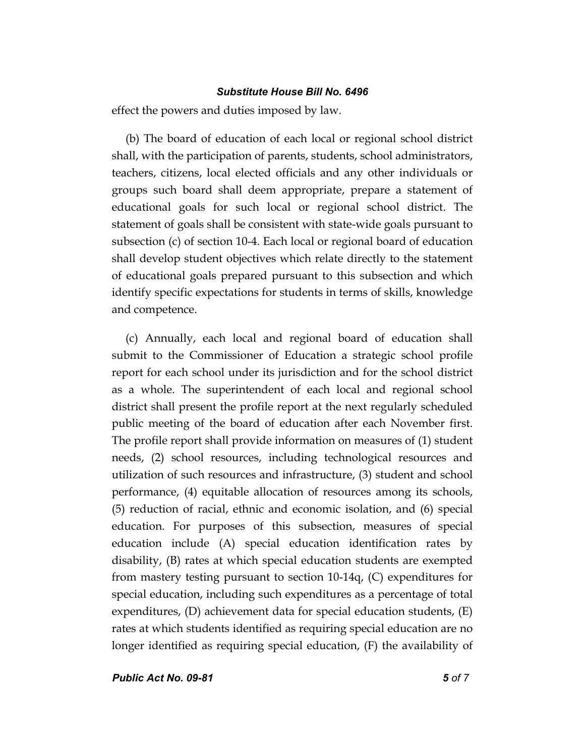effect the powers and duties imposed by law.

(b) The board of education of each local or regional school district shall, with the participation of parents, students, school administrators, teachers, citizens, local elected officials and any other individuals or groups such board shall deem appropriate, prepare a statement of educational goals for such local or regional school district. The statement of goals shall be consistent with state-wide goals pursuant to subsection (c) of section 10-4. Each local or regional board of education shall develop student objectives which relate directly to the statement of educational goals prepared pursuant to this subsection and which identify specific expectations for students in terms of skills, knowledge and competence.

(c) Annually, each local and regional board of education shall submit to the Commissioner of Education a strategic school profile report for each school under its jurisdiction and for the school district as a whole. The superintendent of each local and regional school district shall present the profile report at the next regularly scheduled public meeting of the board of education after each November first. The profile report shall provide information on measures of (1) student needs, (2) school resources, including technological resources and utilization of such resources and infrastructure, (3) student and school performance, (4) equitable allocation of resources among its schools, (5) reduction of racial, ethnic and economic isolation, and (6) special education. For purposes of this subsection, measures of special education include (A) special education identification rates by disability, (B) rates at which special education students are exempted from mastery testing pursuant to section 10-14q, (C) expenditures for special education, including such expenditures as a percentage of total expenditures, (D) achievement data for special education students, (E) rates at which students identified as requiring special education are no longer identified as requiring special education, (F) the availability of

*Public Act No. 09-81 5 of 7*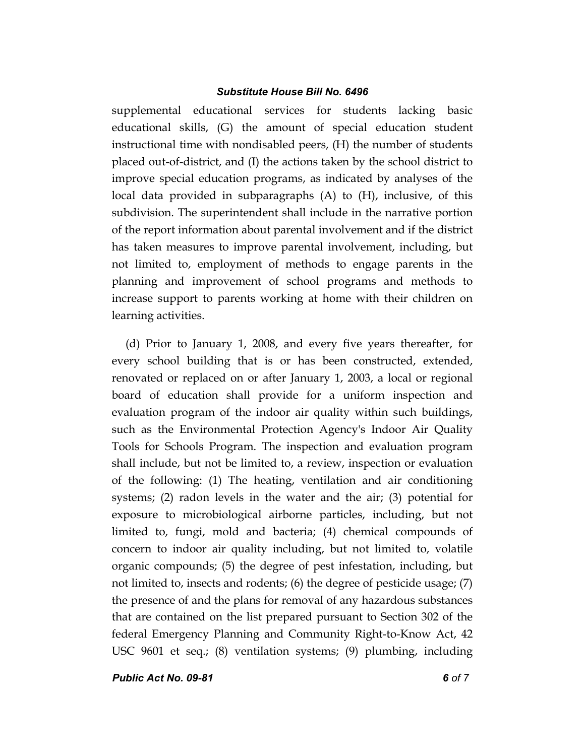supplemental educational services for students lacking basic educational skills, (G) the amount of special education student instructional time with nondisabled peers, (H) the number of students placed out-of-district, and (I) the actions taken by the school district to improve special education programs, as indicated by analyses of the local data provided in subparagraphs (A) to (H), inclusive, of this subdivision. The superintendent shall include in the narrative portion of the report information about parental involvement and if the district has taken measures to improve parental involvement, including, but not limited to, employment of methods to engage parents in the planning and improvement of school programs and methods to increase support to parents working at home with their children on learning activities.

(d) Prior to January 1, 2008, and every five years thereafter, for every school building that is or has been constructed, extended, renovated or replaced on or after January 1, 2003, a local or regional board of education shall provide for a uniform inspection and evaluation program of the indoor air quality within such buildings, such as the Environmental Protection Agency's Indoor Air Quality Tools for Schools Program. The inspection and evaluation program shall include, but not be limited to, a review, inspection or evaluation of the following: (1) The heating, ventilation and air conditioning systems; (2) radon levels in the water and the air; (3) potential for exposure to microbiological airborne particles, including, but not limited to, fungi, mold and bacteria; (4) chemical compounds of concern to indoor air quality including, but not limited to, volatile organic compounds; (5) the degree of pest infestation, including, but not limited to, insects and rodents; (6) the degree of pesticide usage; (7) the presence of and the plans for removal of any hazardous substances that are contained on the list prepared pursuant to Section 302 of the federal Emergency Planning and Community Right-to-Know Act, 42 USC 9601 et seq.; (8) ventilation systems; (9) plumbing, including

*Public Act No. 09-81 6 of 7*